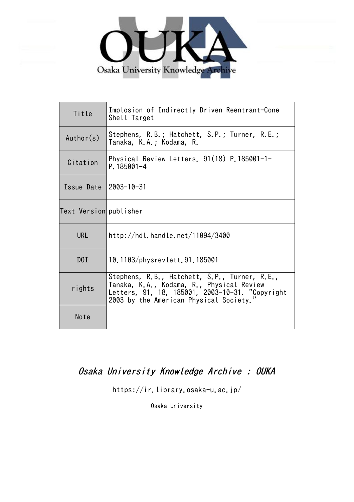

| Title                  | Implosion of Indirectly Driven Reentrant-Cone<br>Shell Target                                                                                                                           |
|------------------------|-----------------------------------------------------------------------------------------------------------------------------------------------------------------------------------------|
| Author(s)              | Stephens, R.B.; Hatchett, S.P.; Turner, R.E.;<br>Tanaka, K.A.; Kodama, R.                                                                                                               |
| Citation               | Physical Review Letters. 91(18) P.185001-1-<br>P.185001-4                                                                                                                               |
| Issue Date 2003-10-31  |                                                                                                                                                                                         |
| Text Version publisher |                                                                                                                                                                                         |
| <b>URL</b>             | http://hdl.handle.net/11094/3400                                                                                                                                                        |
| DOI                    | 10.1103/physrevlett.91.185001                                                                                                                                                           |
| rights                 | Stephens, R.B., Hatchett, S.P., Turner, R.E.,<br>Tanaka, K.A., Kodama, R., Physical Review<br>Letters, 91, 18, 185001, 2003-10-31. "Copyright<br>2003 by the American Physical Society. |
| Note                   |                                                                                                                                                                                         |

## Osaka University Knowledge Archive : OUKA

https://ir.library.osaka-u.ac.jp/

Osaka University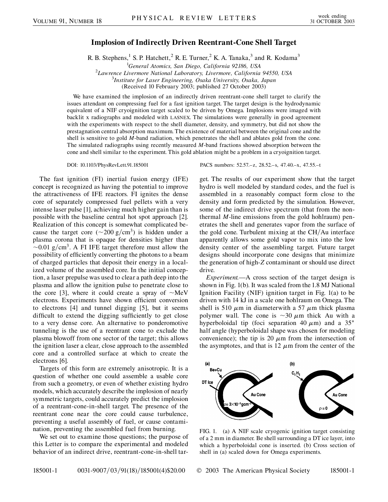## **Implosion of Indirectly Driven Reentrant-Cone Shell Target**

R. B. Stephens,<sup>1</sup> S. P. Hatchett,<sup>2</sup> R. E. Turner,<sup>2</sup> K. A. Tanaka,<sup>3</sup> and R. Kodama<sup>3</sup>

<sup>1</sup>General Atomics, San Diego, California 92186, USA *General Atomics, San Diego, California 92186, USA* <sup>2</sup>

*Lawrence Livermore National Laboratory, Livermore, California 94550, USA* <sup>3</sup>

*Institute for Laser Engineering, Osaka University, Osaka, Japan*

(Received 10 February 2003; published 27 October 2003)

We have examined the implosion of an indirectly driven reentrant-cone shell target to clarify the issues attendant on compressing fuel for a fast ignition target. The target design is the hydrodynamic equivalent of a NIF cryoignition target scaled to be driven by Omega. Implosions were imaged with backlit x radiographs and modeled with LASNEX. The simulations were generally in good agreement with the experiments with respect to the shell diameter, density, and symmetry, but did not show the prestagnation central absorption maximum. The existence of material between the original cone and the shell is sensitive to gold *M*-band radiation, which penetrates the shell and ablates gold from the cone. The simulated radiographs using recently measured *M*-band fractions showed absorption between the cone and shell similar to the experiment. This gold ablation might be a problem in a cryoignition target.

The fast ignition (FI) inertial fusion energy (IFE) concept is recognized as having the potential to improve the attractiveness of IFE reactors. FI ignites the dense core of separately compressed fuel pellets with a very intense laser pulse [1], achieving much higher gain than is possible with the baseline central hot spot approach [2]. Realization of this concept is somewhat complicated because the target core  $({\sim}200 \text{ g/cm}^3)$  is hidden under a plasma corona that is opaque for densities higher than  $\sim$ 0.01 g/cm<sup>3</sup>. A FI IFE target therefore must allow the possibility of efficiently converting the photons to a beam of charged particles that deposit their energy in a localized volume of the assembled core. In the initial conception, a laser prepulse was used to clear a path deep into the plasma and allow the ignition pulse to penetrate close to the core [3], where it could create a spray of  $\sim$ MeV electrons. Experiments have shown efficient conversion to electrons [4] and tunnel digging [5], but it seems difficult to extend the digging sufficiently to get close to a very dense core. An alternative to ponderomotive tunneling is the use of a reentrant cone to exclude the plasma blowoff from one sector of the target; this allows the ignition laser a clear, close approach to the assembled core and a controlled surface at which to create the electrons [6].

Targets of this form are extremely anisotropic. It is a question of whether one could assemble a usable core from such a geometry, or even of whether existing hydro models, which accurately describe the implosion of nearly symmetric targets, could accurately predict the implosion of a reentrant-cone-in-shell target. The presence of the reentrant cone near the core could cause turbulence, preventing a useful assembly of fuel, or cause contamination, preventing the assembled fuel from burning.

We set out to examine those questions; the purpose of this Letter is to compare the experimental and modeled behavior of an indirect drive, reentrant-cone-in-shell tar-

DOI: 10.1103/PhysRevLett.91.185001 PACS numbers: 52.57.–z, 28.52.–s, 47.40.–x, 47.55.–t

get. The results of our experiment show that the target hydro is well modeled by standard codes, and the fuel is assembled in a reasonably compact form close to the density and form predicted by the simulation. However, some of the indirect drive spectrum (that from the nonthermal *M*-line emissions from the gold hohlraum) penetrates the shell and generates vapor from the surface of the gold cone. Turbulent mixing at the CH/Au interface apparently allows some gold vapor to mix into the low density center of the assembling target. Future target designs should incorporate cone designs that minimize the generation of high-*Z* contaminant or should use direct drive.

*Experiment.*—A cross section of the target design is shown in Fig. 1(b). It was scaled from the 1.8 MJ National Ignition Facility (NIF) ignition target in Fig. 1(a) to be driven with 14 kJ in a scale one hohlraum on Omega. The shell is 510  $\mu$ m in diameterwith a 57  $\mu$ m thick plasma polymer wall. The cone is  $\sim$ 30  $\mu$ m thick Au with a hyperboloidal tip (foci separation 40  $\mu$ m) and a 35° half angle (hyperboloidal shape was chosen for modeling convenience); the tip is 20  $\mu$ m from the intersection of the asymptotes, and that is  $12 \mu m$  from the center of the



FIG. 1. (a) A NIF scale cryogenic ignition target consisting of a 2 mm in diameter. Be shell surrounding a DT ice layer, into which a hyperboloidal cone is inserted. (b) Cross section of shell in (a) scaled down for Omega experiments.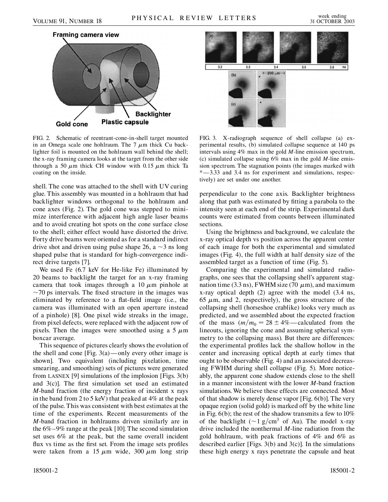

FIG. 2. Schematic of reentrant-cone-in-shell target mounted in an Omega scale one hohlraum. The  $7 \mu m$  thick Cu backlighter foil is mounted on the hohlraum wall behind the shell; the x-ray framing camera looks at the target from the other side through a 50  $\mu$ m thick CH window with 0.15  $\mu$ m thick Ta coating on the inside.

shell. The cone was attached to the shell with UV curing glue. This assembly was mounted in a hohlraum that had backlighter windows orthogonal to the hohlraum and cone axes (Fig. 2). The gold cone was stepped to minimize interference with adjacent high angle laser beams and to avoid creating hot spots on the cone surface close to the shell; either effect would have distorted the drive. Forty drive beams were oriented as for a standard indirect drive shot and driven using pulse shape 26, a  $\sim$ 3 ns long shaped pulse that is standard for high-convergence indirect drive targets [7].

We used Fe (6.7 keV for He-like Fe) illuminated by 20 beams to backlight the target for an x-ray framing camera that took images through a 10  $\mu$ m pinhole at  $\sim$ 70 ps intervals. The fixed structure in the images was eliminated by reference to a flat-field image (i.e., the camera was illuminated with an open aperture instead of a pinhole) [8]. One pixel wide streaks in the image, from pixel defects, were replaced with the adjacent row of pixels. Then the images were smoothed using a 5  $\mu$ m boxcar average.

This sequence of pictures clearly shows the evolution of the shell and cone [Fig.  $3(a)$  —only every other image is shown]. Two equivalent (including pixelation, time smearing, and smoothing) sets of pictures were generated from LASNEX [9] simulations of the implosion [Figs. 3(b) and 3(c)]. The first simulation set used an estimated *M*-band fraction (the energy fraction of incident x rays in the band from 2 to 5 keV) that peaked at 4% at the peak of the pulse. This was consistent with best estimates at the time of the experiments. Recent measurements of the *M*-band fraction in hohlraums driven similarly are in the 6%–9% range at the peak [10]. The second simulation set uses 6% at the peak, but the same overall incident flux vs time as the first set. From the image sets profiles were taken from a 15  $\mu$ m wide, 300  $\mu$ m long strip



FIG. 3. X-radiograph sequence of shell collapse (a) experimental results, (b) simulated collapse sequence at 140 ps intervals using 4% max in the gold *M*-line emission spectrum, (c) simulated collapse using 6% max in the gold *M*-line emission spectrum. The stagnation points (the images marked with \*—3.33 and 3.4 ns for experiment and simulations, respectively) are set under one another.

perpendicular to the cone axis. Backlighter brightness along that path was estimated by fitting a parabola to the intensity seen at each end of the strip. Experimental dark counts were estimated from counts between illuminated sections.

Using the brightness and background, we calculate the x-ray optical depth vs position across the apparent center of each image for both the experimental and simulated images (Fig. 4), the full width at half density size of the assembled target as a function of time (Fig. 5).

Comparing the experimental and simulated radiographs, one sees that the collapsing shell's apparent stagnation time (3.3 ns), FWHM size (70  $\mu$ m), and maximum x-ray optical depth (2) agree with the model (3.4 ns, 65  $\mu$ m, and 2, respectively), the gross structure of the collapsing shell (horseshoe crablike) looks very much as predicted, and we assembled about the expected fraction of the mass  $(m/m_0 = 28 \pm 4\%$ — calculated from the lineouts, ignoring the cone and assuming spherical symmetry to the collapsing mass). But there are differences: the experimental profiles lack the shallow hollow in the center and increasing optical depth at early times that ought to be observable (Fig. 4) and an associated decreasing FWHM during shell collapse (Fig. 5). More noticeably, the apparent cone shadow extends close to the shell in a manner inconsistent with the lower *M*-band fraction simulations. We believe these effects are connected. Most of that shadow is merely dense vapor [Fig. 6(b)]. The very opaque region (solid gold) is marked off by the white line in Fig.  $6(b)$ ; the rest of the shadow transmits a few to  $10\%$ of the backlight ( $\sim$ 1 g/cm<sup>3</sup> of Au). The model x-ray drive included the nonthermal *M*-line radiation from the gold hohlraum, with peak fractions of 4% and 6% as described earlier [Figs.  $3(b)$  and  $3(c)$ ]. In the simulations these high energy x rays penetrate the capsule and heat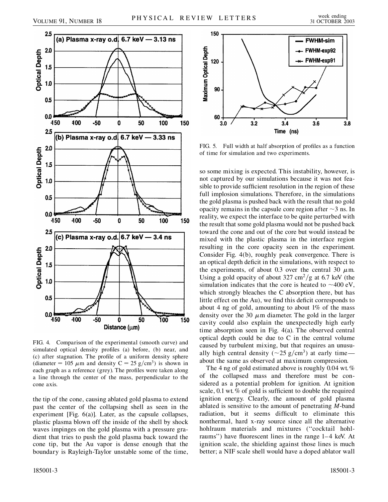



FIG. 4. Comparison of the experimental (smooth curve) and simulated optical density profiles (a) before, (b) near, and (c) after stagnation. The profile of a uniform density sphere (diameter = 105  $\mu$ m and density C = 25 g/cm<sup>3</sup>) is shown in each graph as a reference (grey). The profiles were taken along a line through the center of the mass, perpendicular to the cone axis.

the tip of the cone, causing ablated gold plasma to extend past the center of the collapsing shell as seen in the experiment [Fig. 6(a)]. Later, as the capsule collapses, plastic plasma blown off the inside of the shell by shock waves impinges on the gold plasma with a pressure gradient that tries to push the gold plasma back toward the cone tip, but the Au vapor is dense enough that the boundary is Rayleigh-Taylor unstable some of the time,



FIG. 5. Full width at half absorption of profiles as a function of time for simulation and two experiments.

so some mixing is expected. This instability, however, is not captured by our simulations because it was not feasible to provide sufficient resolution in the region of these full implosion simulations. Therefore, in the simulations the gold plasma is pushed back with the result that no gold opacity remains in the capsule core region after  $\sim$ 3 ns. In reality, we expect the interface to be quite perturbed with the result that some gold plasma would not be pushed back toward the cone and out of the core but would instead be mixed with the plastic plasma in the interface region resulting in the core opacity seen in the experiment. Consider Fig. 4(b), roughly peak convergence. There is an optical depth deficit in the simulations, with respect to the experiments, of about 0.3 over the central 30  $\mu$ m. Using a gold opacity of about  $327 \text{ cm}^2/\text{g}$  at 6.7 keV (the simulation indicates that the core is heated to  $\sim$ 400 eV, which strongly bleaches the C absorption there, but has little effect on the Au), we find this deficit corresponds to about 4 ng of gold, amounting to about 1% of the mass density over the 30  $\mu$ m diameter. The gold in the larger cavity could also explain the unexpectedly high early time absorption seen in Fig. 4(a). The observed central optical depth could be due to C in the central volume caused by turbulent mixing, but that requires an unusually high central density ( $\sim$ 25 g/cm<sup>3</sup>) at early time about the same as observed at maximum compression.

The 4 ng of gold estimated above is roughly  $0.04$  wt. % of the collapsed mass and therefore must be considered as a potential problem for ignition. At ignition scale, 0.1 wt. % of gold is sufficient to double the required ignition energy. Clearly, the amount of gold plasma ablated is sensitive to the amount of penetrating *M*-band radiation, but it seems difficult to eliminate this nonthermal, hard x-ray source since all the alternative hohlraum materials and mixtures (''cocktail hohlraums'') have fluorescent lines in the range 1–4 keV. At ignition scale, the shielding against those lines is much better; a NIF scale shell would have a doped ablator wall